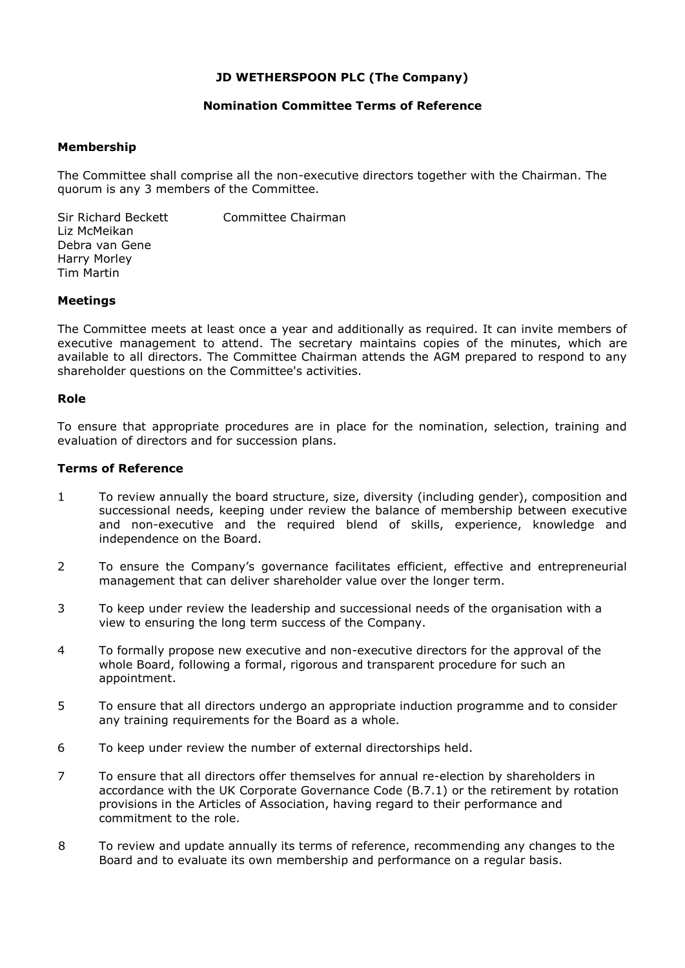## **JD WETHERSPOON PLC (The Company)**

### **Nomination Committee Terms of Reference**

### **Membership**

The Committee shall comprise all the non-executive directors together with the Chairman. The quorum is any 3 members of the Committee.

Sir Richard Beckett Committee Chairman Liz McMeikan Debra van Gene Harry Morley Tim Martin

#### **Meetings**

The Committee meets at least once a year and additionally as required. It can invite members of executive management to attend. The secretary maintains copies of the minutes, which are available to all directors. The Committee Chairman attends the AGM prepared to respond to any shareholder questions on the Committee's activities.

#### **Role**

To ensure that appropriate procedures are in place for the nomination, selection, training and evaluation of directors and for succession plans.

#### **Terms of Reference**

- 1 To review annually the board structure, size, diversity (including gender), composition and successional needs, keeping under review the balance of membership between executive and non-executive and the required blend of skills, experience, knowledge and independence on the Board.
- 2 To ensure the Company's governance facilitates efficient, effective and entrepreneurial management that can deliver shareholder value over the longer term.
- 3 To keep under review the leadership and successional needs of the organisation with a view to ensuring the long term success of the Company.
- 4 To formally propose new executive and non-executive directors for the approval of the whole Board, following a formal, rigorous and transparent procedure for such an appointment.
- 5 To ensure that all directors undergo an appropriate induction programme and to consider any training requirements for the Board as a whole.
- 6 To keep under review the number of external directorships held.
- 7 To ensure that all directors offer themselves for annual re-election by shareholders in accordance with the UK Corporate Governance Code (B.7.1) or the retirement by rotation provisions in the Articles of Association, having regard to their performance and commitment to the role.
- 8 To review and update annually its terms of reference, recommending any changes to the Board and to evaluate its own membership and performance on a regular basis.